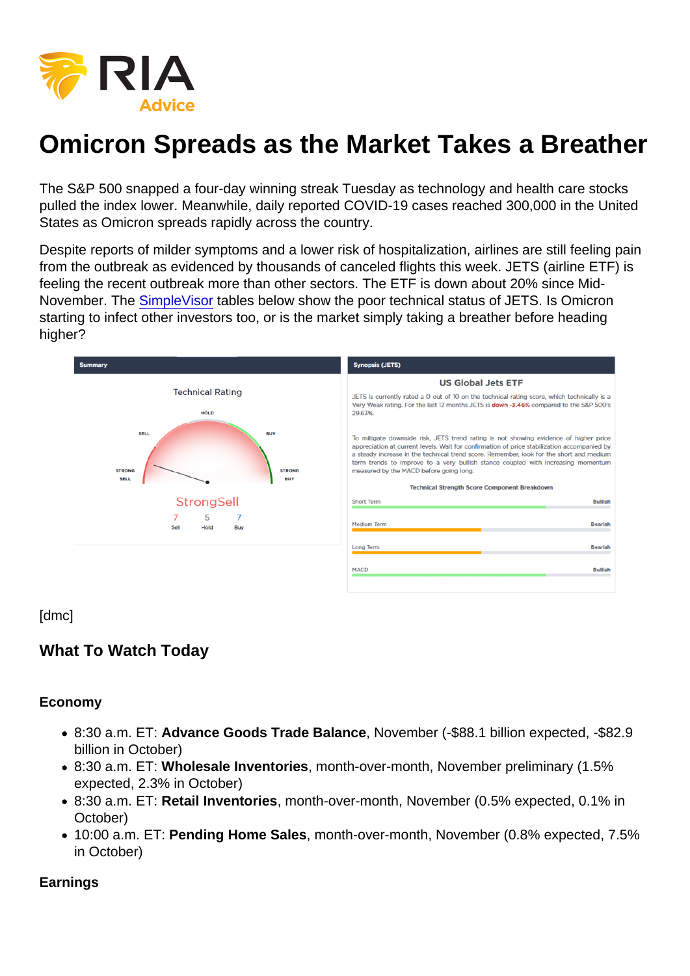# Omicron Spreads as the Market Takes a Breather

The S&P 500 snapped a four-day winning streak Tuesday as technology and health care stocks pulled the index lower. Meanwhile, daily reported COVID-19 cases reached 300,000 in the United States as Omicron spreads rapidly across the country.

Despite reports of milder symptoms and a lower risk of hospitalization, airlines are still feeling pain from the outbreak as evidenced by thousands of canceled flights this week. JETS (airline ETF) is feeling the recent outbreak more than other sectors. The ETF is down about 20% since Mid-November. The [SimpleVisor](https://simplevisor.com/) tables below show the poor technical status of JETS. Is Omicron starting to infect other investors too, or is the market simply taking a breather before heading higher?

[dmc]

What To Watch Today

Economy

- 8:30 a.m. ET: Advance Goods Trade Balance , November (-\$88.1 billion expected, -\$82.9 billion in October)
- 8:30 a.m. ET: Wholesale Inventories , month-over-month, November preliminary (1.5% expected, 2.3% in October)
- 8:30 a.m. ET: Retail Inventories , month-over-month, November (0.5% expected, 0.1% in October)
- 10:00 a.m. ET: Pending Home Sales , month-over-month, November (0.8% expected, 7.5% in October)

Earnings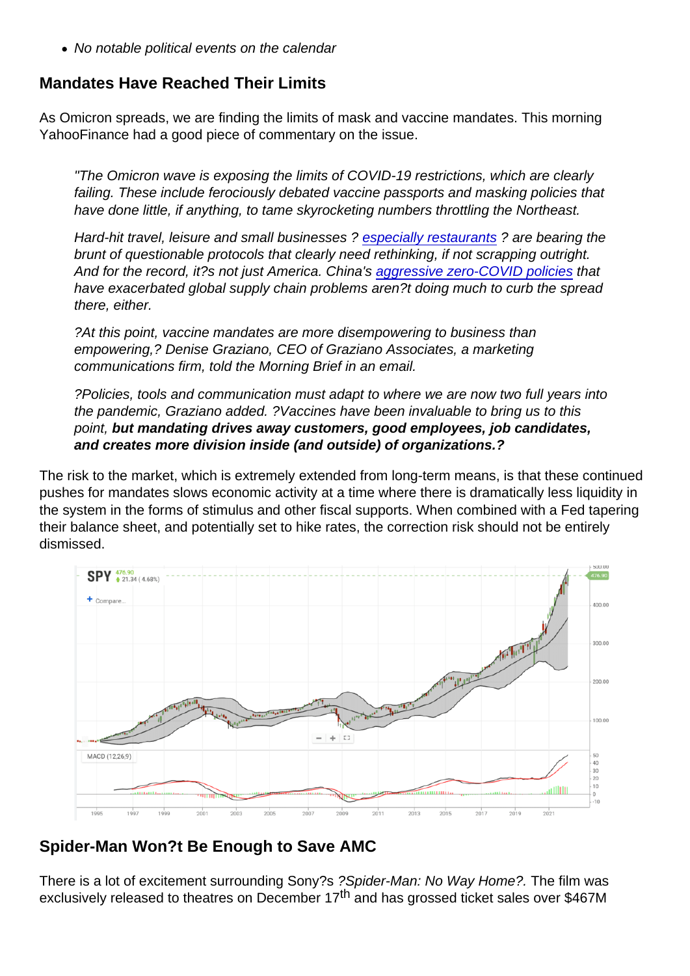No notable political events on the calendar

## Mandates Have Reached Their Limits

As Omicron spreads, we are finding the limits of mask and vaccine mandates. This morning YahooFinance had a good piece of commentary on the issue.

"The Omicron wave is exposing the limits of COVID-19 restrictions, which are clearly failing. These include ferociously debated vaccine passports and masking policies that have done little, if anything, to tame skyrocketing numbers throttling the Northeast.

Hard-hit travel, leisure and small businesses ? [especially restaurants](https://finance.yahoo.com/news/bar-restaurant-outlook-dims-as-recovery-runs-its-course-winter-covid-spike-looms-large-224134840.html) ? are bearing the brunt of questionable protocols that clearly need rethinking, if not scrapping outright. And for the record, it?s not just America. China's [aggressive zero-COVID policies](https://www.economist.com/china/a-cluster-of-covid-19-cases-in-china-prompts-a-citywide-lockdown/21806929?utm_campaign=the-economist-today&utm_medium=newsletter&utm_source=salesforce-marketing-cloud&utm_term=2021-12-28&utm_content=article-link-1&etear=nl_today_1) that have exacerbated global supply chain problems aren?t doing much to curb the spread there, either.

?At this point, vaccine mandates are more disempowering to business than empowering,? Denise Graziano, CEO of Graziano Associates, a marketing communications firm, told the Morning Brief in an email.

?Policies, tools and communication must adapt to where we are now two full years into the pandemic, Graziano added. ?Vaccines have been invaluable to bring us to this point, but mandating drives away customers, good employees, job candidates, and creates more division inside (and outside) of organizations.?

The risk to the market, which is extremely extended from long-term means, is that these continued pushes for mandates slows economic activity at a time where there is dramatically less liquidity in the system in the forms of stimulus and other fiscal supports. When combined with a Fed tapering their balance sheet, and potentially set to hike rates, the correction risk should not be entirely dismissed.

## Spider-Man Won?t Be Enough to Save AMC

There is a lot of excitement surrounding Sony?s ?Spider-Man: No Way Home?. The film was exclusively released to theatres on December 17<sup>th</sup> and has grossed ticket sales over \$467M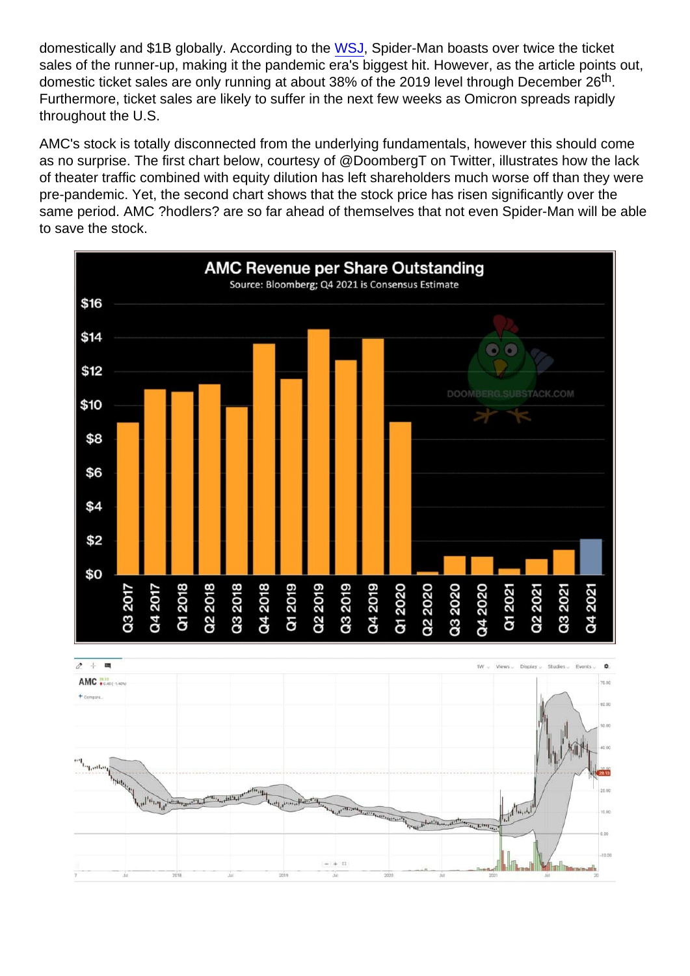domestically and \$1B globally. According to the [WSJ](https://www.wsj.com/articles/spider-man-complicates-movie-theater-recovery-plot-11640694781?mod=markets_lead_pos10), Spider-Man boasts over twice the ticket sales of the runner-up, making it the pandemic era's biggest hit. However, as the article points out, domestic ticket sales are only running at about 38% of the 2019 level through December 26<sup>th</sup>. Furthermore, ticket sales are likely to suffer in the next few weeks as Omicron spreads rapidly throughout the U.S.

AMC's stock is totally disconnected from the underlying fundamentals, however this should come as no surprise. The first chart below, courtesy of @DoombergT on Twitter, illustrates how the lack of theater traffic combined with equity dilution has left shareholders much worse off than they were pre-pandemic. Yet, the second chart shows that the stock price has risen significantly over the same period. AMC ?hodlers? are so far ahead of themselves that not even Spider-Man will be able to save the stock.